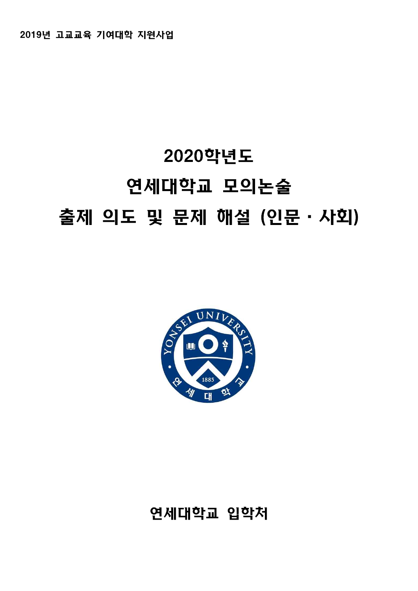## 연세대학교 입학처



# 2020학년도 연세대학교 모의논술 출제 의도 및 문제 해설 (인문·사회)

2019년 고교교육 기여대학 지원사업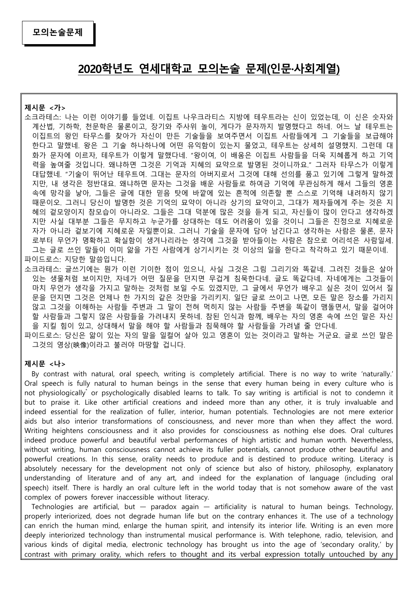# **2020학년도 연세대학교 모의논술 문제(인문·사회계열) 제시문 <가>**

- 소크라테스: 나는 이런 이야기를 들었네. 이집트 나우크라티스 지방에 테우트라는 신이 있었는데, 이 신은 숫자와 계산법, 기하학, 천문학은 물론이고, 장기와 주사위 놀이, 게다가 문자까지 발명했다고 하네. 어느 날 테우트는 이집트의 왕인 타무스를 찾아가 자신이 만든 기술들을 보여주면서 이집트 사람들에게 그 기술들을 보급해야 한다고 말했네. 왕은 그 기술 하나하나에 어떤 유익함이 있는지 물었고, 테우트는 상세히 설명했지. 그런데 대 화가 문자에 이르자, 테우트가 이렇게 말했다네. "왕이여, 이 배움은 이집트 사람들을 더욱 지혜롭게 하고 기억 력을 높여줄 것입니다. 왜냐하면 그것은 기억과 지혜의 묘약으로 발명된 것이니까요." 그러자 타무스가 이렇게 대답했네. "기술이 뛰어난 테우트여. 그대는 문자의 아버지로서 그것에 대해 선의를 품고 있기에 그렇게 말하겠 지만, 내 생각은 정반대요. 왜냐하면 문자는 그것을 배운 사람들로 하여금 기억에 무관심하게 해서 그들의 영혼 속에 망각을 낳아, 그들은 글에 대한 믿음 탓에 바깥에 있는 흔적에 의존할 뿐 스스로 기억해 내려하지 않기 때문이오. 그러니 당신이 발명한 것은 기억의 묘약이 아니라 상기의 묘약이고, 그대가 제자들에게 주는 것은 지 혜의 겉모양이지 참모습이 아니라오. 그들은 그대 덕분에 많은 것을 듣게 되고, 자신들이 많이 안다고 생각하겠 지만 사실 대부분 그들은 무지하고 누군가를 상대하는 데도 어려움이 있을 것이니 그들은 진정으로 지혜로운 자가 아니라 겉보기에 지혜로운 자일뿐이요. 그러니 기술을 문자에 담아 남긴다고 생각하는 사람은 물론, 문자 로부터 무언가 명확하고 확실함이 생겨나리라는 생각에 그것을 받아들이는 사람은 참으로 어리석은 사람일세.<br>그는 글로 쓰인 말들이 이미 앎을 가진 사람에게 상기시키는 것 이상의 일을 한다고 착각하고 있기 때문이네.
- 파이드로스: 지당한 말씀입니다.<br>소크라테스: 글쓰기에는 뭔가 이런 기이한 점이 있으니, 사실 그것은 그림 그리기와 똑같네. 그려진 것들은 살아 있는 생물처럼 보이지만, 자네가 어떤 질문을 던지면 무겁게 침묵한다네. 글도 똑같다네. 자네에게는 그것들이 마치 무언가 생각을 가지고 말하는 것처럼 보일 수도 있겠지만, 그 글에서 무언가 배우고 싶은 것이 있어서 질 문을 던지면 그것은 언제나 한 가지의 같은 것만을 가리키지. 일단 글로 쓰이고 나면, 모든 말은 장소를 가리지 않고 그것을 이해하는 사람들 주변과 그 말이 전혀 먹히지 않는 사람들 주변을 똑같이 맴돌면서, 말을 걸어야 할 사람들과 그렇지 않은 사람들을 가려내지 못하네. 참된 인식과 함께, 배우는 자의 영혼 속에 쓰인 말은 자신 을 지킬 힘이 있고, 상대해서 말을 해야 할 사람들과 침묵해야 할 사람들을 가려낼 줄 안다네. 파이드로스: 당신은 앎이 있는 자의 말을 일컬어 살아 있고 영혼이 있는 것이라고 말하는 거군요. 글로 쓰인 말은
- 그것의 영상(映像)이라고 불러야 마땅할 겁니다.

#### **제시문 <나>**

 By contrast with natural, oral speech, writing is completely artificial. There is no way to write 'naturally.' Oral speech is fully natural to human beings in the sense that every human being in every culture who is not physiologically\* or psychologically disabled learns to talk. To say writing is artificial is not to condemn it but to praise it. Like other artificial creations and indeed more than any other, it is truly invaluable and indeed essential for the realization of fuller, interior, human potentials. Technologies are not mere exterior aids but also interior transformations of consciousness, and never more than when they affect the word. Writing heightens consciousness and it also provides for consciousness as nothing else does. Oral cultures indeed produce powerful and beautiful verbal performances of high artistic and human worth. Nevertheless, without writing, human consciousness cannot achieve its fuller potentials, cannot produce other beautiful and powerful creations. In this sense, orality needs to produce and is destined to produce writing. Literacy is absolutely necessary for the development not only of science but also of history, philosophy, explanatory understanding of literature and of any art, and indeed for the explanation of language (including oral speech) itself. There is hardly an oral culture left in the world today that is not somehow aware of the vast complex of powers forever inaccessible without literacy.

Technologies are artificial, but — paradox again — artificiality is natural to human beings. Technology, properly interiorized, does not degrade human life but on the contrary enhances it. The use of a technology can enrich the human mind, enlarge the human spirit, and intensify its interior life. Writing is an even more deeply interiorized technology than instrumental musical performance is. With telephone, radio, television, and various kinds of digital media, electronic technology has brought us into the age of 'secondary orality,' by contrast with primary orality, which refers to thought and its verbal expression totally untouched by any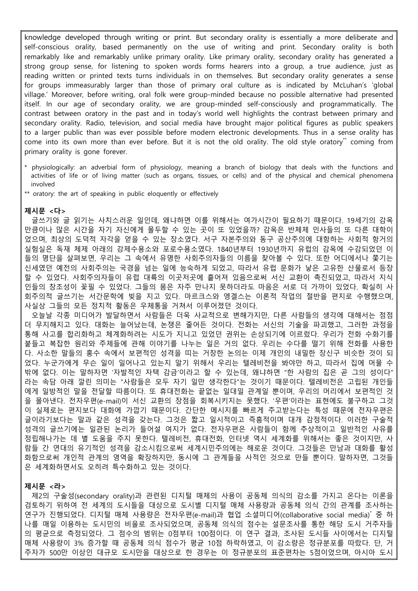knowledge developed through writing or print. But secondary orality is essentially a more deliberate and self-conscious orality, based permanently on the use of writing and print. Secondary orality is both remarkably like and remarkably unlike primary orality. Like primary orality, secondary orality has generated a strong group sense, for listening to spoken words forms hearers into a group, a true audience, just as reading written or printed texts turns individuals in on themselves. But secondary orality generates a sense for groups immeasurably larger than those of primary oral culture as is indicated by McLuhan's 'global village.' Moreover, before writing, oral folk were group-minded because no possible alternative had presented itself. In our age of secondary orality, we are group-minded self-consciously and programmatically. The contrast between oratory in the past and in today's world well highlights the contrast between primary and secondary orality. Radio, television, and social media have brought major political figures as public speakers to a larger public than was ever possible before modern electronic developments. Thus in a sense orality has come into its own more than ever before. But it is not the old orality. The old style oratory\*\* coming from primary orality is gone forever.

- \* physiologically: an adverbial form of physiology, meaning a branch of biology that deals with the functions and activities of life or of living matter (such as organs, tissues, or cells) and of the physical and chemical phenomena involved
- \*\* oratory: the art of speaking in public eloquently or effectively

#### **제시문 <다>**

 글쓰기와 글 읽기는 사치스러운 일인데, 왜냐하면 이를 위해서는 여가시간이 필요하기 때문이다. 19세기의 감옥 만큼이나 많은 시간을 자기 자신에게 몰두할 수 있는 곳이 또 있었을까? 감옥은 반체제 인사들의 또 다른 대학이 었으며, 최상의 도덕적 자각을 얻을 수 있는 장소였다. 서구 자본주의와 동구 공산주의에 대항하는 사회적 항거의 실험실은 독재 체제 아래의 강제수용소와 포로수용소였다. 1840년부터 1930년까지 유럽의 감옥에 수감되었던 이 들의 명단을 살펴보면, 우리는 그 속에서 유명한 사회주의자들의 이름을 찾아볼 수 있다. 또한 어디에서나 쫓기는 신세였던 예전의 사회주의는 국경을 넘는 일에 능숙하게 되었고, 따라서 유럽 문화가 낳은 고유한 산물로서 등장 할 수 있었다. 사회주의자들이 유럽 대륙의 이곳저곳에 흩어져 있음으로써 서신 교환이 촉진되었고, 따라서 지식 인들의 창조성이 꽃필 수 있었다. 그들의 몸은 자주 만나지 못하더라도 마음은 서로 더 가까이 있었다. 확실히 사 회주의적 글쓰기는 서간문학에 빚을 지고 있다. 마르크스와 엥겔스는 이론적 작업의 절반을 편지로 수행했으며,<br>사실상 그들의 모든 정치적 활동은 우체통을 거쳐서 이루어졌던 것이다.

 오늘날 각종 미디어가 발달하면서 사람들은 더욱 사교적으로 변해가지만, 다른 사람들의 생각에 대해서는 점점 더 무지해지고 있다. 대화는 늘어났는데, 논쟁은 줄어든 것이다. 전화는 서신의 기술을 파괴했고, 그러한 과정을 통해 사고를 합리화하고 체계화하려는 시도가 지니고 있었던 권위는 손상되기에 이르렀다. 우리가 전화 수화기를 붙들고 복잡한 원리와 주제들에 관해 이야기를 나누는 일은 거의 없다. 우리는 수다를 떨기 위해 전화를 사용한 다. 사소한 말들의 홍수 속에서 보편적인 성격을 띠는 거창한 논의는 이제 개인의 내밀한 장신구 비슷한 것이 되 었다. 누군가에게 무슨 일이 일어나고 있는지 알기 위해서 우리는 텔레비전을 봐야만 하고, 따라서 집에 머물 수 밖에 없다. 이는 말하자면 '자발적인 자택 감금'이라고 할 수 있는데, 왜냐하면 "한 사람의 집은 곧 그의 성이다" 라는 속담 아래 깔린 의미는 "사람들은 모두 자기 일만 생각한다"는 것이기 때문이다. 텔레비전은 고립된 개인들 에게 일방적인 말을 전달할 따름이다. 또 휴대전화는 끝없는 일대일 관계일 뿐이며, 우리의 머리에서 보편적인 것 을 몰아낸다. 전자우편(e-mail)이 서신 교환의 장점을 회복시키지는 못했다. '우편'이라는 표현에도 불구하고 그것 이 실제로는 편지보다 대화에 가깝기 때문이다. 간단한 메시지를 빠르게 주고받는다는 특성 때문에 전자우편은 글이라기보다는 말과 같은 성격을 갖는다. 그것은 짧고 일시적이고 즉흥적이며 대개 감정적이다. 이러한 구술적 성격의 글쓰기에는 일관된 논리가 들어설 여지가 없다. 전자우편은 사람들이 함께 추상적이고 일반적인 사유를 정립해나가는 데 별 도움을 주지 못한다. 텔레비전, 휴대전화, 인터넷 역시 세계화를 위해서는 좋은 것이지만, 사 람들 간 연대의 유기적인 성격을 감소시킴으로써 세계시민주의에는 해로운 것이다. 그것들은 만남과 대화를 활성 화함으로써 개인적 관계의 영역을 확장하지만, 동시에 그 관계들을 사적인 것으로 만들 뿐이다. 말하자면, 그것들 은 세계화하면서도 오히려 특수화하고 있는 것이다.

#### **제시문 <라>**

 제2의 구술성(secondary orality)과 관련된 디지털 매체의 사용이 공동체 의식의 감소를 가지고 온다는 이론을 검토하기 위하여 전 세계의 도시들을 대상으로 도시별 디지털 매체 사용량과 공동체 의식 간의 관계를 조사하는 연구가 진행되었다. 디지털 매체 사용량은 전자우편(e-mail)과 협업 소셜미디어(collaborative social media)\* 중 하 나를 매일 이용하는 도시민의 비율로 조사되었으며, 공동체 의식의 점수는 설문조사를 통한 해당 도시 거주자들 의 평균으로 측정되었다. 그 점수의 범위는 0점부터 100점이다. 이 연구 결과, 조사된 도시들 사이에서는 디지털 매체 사용량이 3% 증가할 때 공동체 의식 점수가 평균 10점 하락하였고, 이 감소량은 정규분포를 따랐다. 단, 거 주자가 500만 이상인 대규모 도시만을 대상으로 한 경우는 이 정규분포의 표준편차는 5점이었으며, 아시아 도시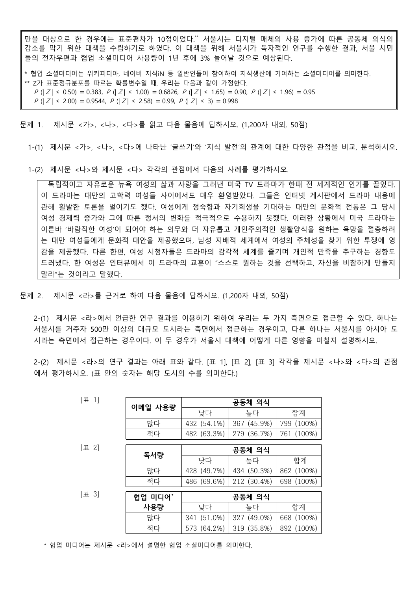만을 대상으로 한 경우에는 표준편차가 10점이었다.\*\* 서울시는 디지털 매체의 사용 증가에 따른 공동체 의식의 감소를 막기 위한 대책을 수립하기로 하였다. 이 대책을 위해 서울시가 독자적인 연구를 수행한 결과, 서울 시민 들의 전자우편과 협업 소셜미디어 사용량이 1년 후에 3% 늘어날 것으로 예상된다.

\* 협업 소셜미디어는 위키피디아, 네이버 지식iN 등 일반인들이 참여하여 지식생산에 기여하는 소셜미디어를 의미한다.<br>\*\* Z가 표준정규분포를 따르는 확률변수일 때, 우리는 다음과 같이 가정한다.<br>P (| Z | ≤ 0.50) = 0.383, P (| Z | ≤ 1.00) = 0.6826, P (| Z | ≤ 1.65) = 0.90, P (| Z | ≤ 1.96) = 0.95

- 
- 
- $P(|Z| \le 2.00) = 0.9544$ ,  $P(|Z| \le 2.58) = 0.99$ ,  $P(|Z| \le 3) = 0.998$

문제 1. 제시문 <가>, <나>, <다>를 읽고 다음 물음에 답하시오. (1,200자 내외, 50점)

1-(1) 제시문 <가>, <나>, <다>에 나타난 '글쓰기'와 '지식 발전'의 관계에 대한 다양한 관점을 비교, 분석하시오.

1-(2) 제시문 <나>와 제시문 <다> 각각의 관점에서 다음의 사례를 평가하시오.

- 독립적이고 자유로운 뉴욕 여성의 삶과 사랑을 그려낸 미국 TV 드라마가 한때 전 세계적인 인기를 끌었다.<br>이 드라마는 대만의 고학력 여성들 사이에서도 매우 환영받았다. 그들은 인터넷 게시판에서 드라마 내용에 관해 활발한 토론을 벌이기도 했다. 여성에게 정숙함과 자기희생을 기대하는 대만의 문화적 전통은 그 당시 여성 경제력 증가와 그에 따른 정서의 변화를 적극적으로 수용하지 못했다. 이러한 상황에서 미국 드라마는 이른바 '바람직한 여성'이 되어야 하는 의무와 더 자유롭고 개인주의적인 생활양식을 원하는 욕망을 절충하려 는 대만 여성들에게 문화적 대안을 제공했으며, 남성 지배적 세계에서 여성의 주체성을 찾기 위한 투쟁에 영 감을 제공했다. 다른 한편, 여성 시청자들은 드라마의 감각적 세계를 즐기며 개인적 만족을 추구하는 경향도 드러냈다. 한 여성은 인터뷰에서 이 드라마의 교훈이 "스스로 원하는 것을 선택하고, 자신을 비참하게 만들지 말라"는 것이라고 말했다.

문제 2. 제시문 <라>를 근거로 하여 다음 물음에 답하시오. (1,200자 내외, 50점)

2-(1) 제시문 <라>에서 언급한 연구 결과를 이용하기 위하여 우리는 두 가지 측면으로 접근할 수 있다. 하나는 서울시를 거주자 500만 이상의 대규모 도시라는 측면에서 접근하는 경우이고, 다른 하나는 서울시를 아시아 도 시라는 측면에서 접근하는 경우이다. 이 두 경우가 서울시 대책에 어떻게 다른 영향을 미칠지 설명하시오.

2-(2) 제시문 <라>의 연구 결과는 아래 표와 같다. [표 1], [표 2], [표 3] 각각을 제시문 <나>와 <다>의 관점 에서 평가하시오. (표 안의 숫자는 해당 도시의 수를 의미한다.)

| [표 1]     | 이메일 사용량 | 공동체 의식      |             |            |
|-----------|---------|-------------|-------------|------------|
|           |         | 낮다          | 높다          | 합계         |
|           | 많다      | 432 (54.1%) | 367 (45.9%) | 799 (100%) |
|           | 적다      | 482 (63.3%) | 279 (36.7%) | 761 (100%) |
|           |         |             |             |            |
| $[\pm 2]$ | 독서량     | 공동체 의식      |             |            |
|           |         | 낮다          | 높다          | 합계         |
|           | 많다      | 428 (49.7%) | 434 (50.3%) | 862 (100%) |
|           | 적다      | 486 (69.6%) | 212 (30.4%) | 698 (100%) |
| $[\pm 3]$ |         |             |             |            |
|           | 협업 미디어* | 공동체 의식      |             |            |
|           | 사용량     | 낮다          | 높다          | 합계         |
|           | 많다      | 341 (51.0%) | 327 (49.0%) | 668 (100%) |
|           | 적다      | 573 (64.2%) | 319 (35.8%) | 892 (100%) |

\* 협업 미디어는 제시문 <라>에서 설명한 협업 소셜미디어를 의미한다.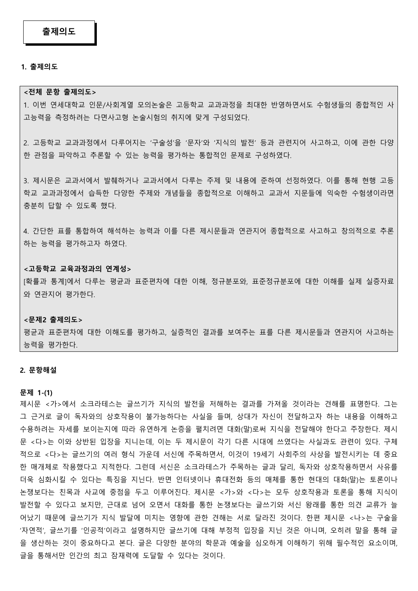#### **1. 출제의도**

#### **<전체 문항 출제의도>**

1. 이번 연세대학교 인문/사회계열 모의논술은 고등학교 교과과정을 최대한 반영하면서도 수험생들의 종합적인 사 고능력을 측정하려는 다면사고형 논술시험의 취지에 맞게 구성되었다.

2. 고등학교 교과과정에서 다루어지는 '구술성'을 '문자'와 '지식의 발전' 등과 관련지어 사고하고, 이에 관한 다양 한 관점을 파악하고 추론할 수 있는 능력을 평가하는 통합적인 문제로 구성하였다.

3. 제시문은 교과서에서 발췌하거나 교과서에서 다루는 주제 및 내용에 준하여 선정하였다. 이를 통해 현행 고등 학교 교과과정에서 습득한 다양한 주제와 개념들을 종합적으로 이해하고 교과서 지문들에 익숙한 수험생이라면 충분히 답할 수 있도록 했다.

4. 간단한 표를 통합하여 해석하는 능력과 이를 다른 제시문들과 연관지어 종합적으로 사고하고 창의적으로 추론 하는 능력을 평가하고자 하였다.

#### **<고등학교 교육과정과의 연계성>**

[확률과 통계]에서 다루는 평균과 표준편차에 대한 이해, 정규분포와, 표준정규분포에 대한 이해를 실제 실증자료 와 연관지어 평가한다.

#### **<문제2 출제의도>**

평균과 표준편차에 대한 이해도를 평가하고, 실증적인 결과를 보여주는 표를 다른 제시문들과 연관지어 사고하는 능력을 평가한다.

#### **2. 문항해설**

#### **문제 1-(1)**

제시문 <가>에서 소크라테스는 글쓰기가 지식의 발전을 저해하는 결과를 가져올 것이라는 견해를 표명한다. 그는 그 근거로 글이 독자와의 상호작용이 불가능하다는 사실을 들며, 상대가 자신이 전달하고자 하는 내용을 이해하고 수용하려는 자세를 보이는지에 따라 유연하게 논증을 펼치려면 대화(말)로써 지식을 전달해야 한다고 주장한다. 제시 문 <다>는 이와 상반된 입장을 지니는데, 이는 두 제시문이 각기 다른 시대에 쓰였다는 사실과도 관련이 있다. 구체 적으로 <다>는 글쓰기의 여러 형식 가운데 서신에 주목하면서, 이것이 19세기 사회주의 사상을 발전시키는 데 중요 한 매개체로 작용했다고 지적한다. 그런데 서신은 소크라테스가 주목하는 글과 달리, 독자와 상호작용하면서 사유를 더욱 심화시킬 수 있다는 특징을 지닌다. 반면 인터넷이나 휴대전화 등의 매체를 통한 현대의 대화(말)는 토론이나 논쟁보다는 친목과 사교에 중점을 두고 이루어진다. 제시문 <가>와 <다>는 모두 상호작용과 토론을 통해 지식이 발전할 수 있다고 보지만, 근대로 넘어 오면서 대화를 통한 논쟁보다는 글쓰기와 서신 왕래를 통한 의견 교류가 늘 어났기 때문에 글쓰기가 지식 발달에 미치는 영향에 관한 견해는 서로 달라진 것이다. 한편 제시문 <나>는 구술을 '자연적', 글쓰기를 '인공적'이라고 설명하지만 글쓰기에 대해 부정적 입장을 지닌 것은 아니며, 오히려 말을 통해 글 을 생산하는 것이 중요하다고 본다. 글은 다양한 분야의 학문과 예술을 심오하게 이해하기 위해 필수적인 요소이며,<br>글을 통해서만 인간의 최고 잠재력에 도달할 수 있다는 것이다.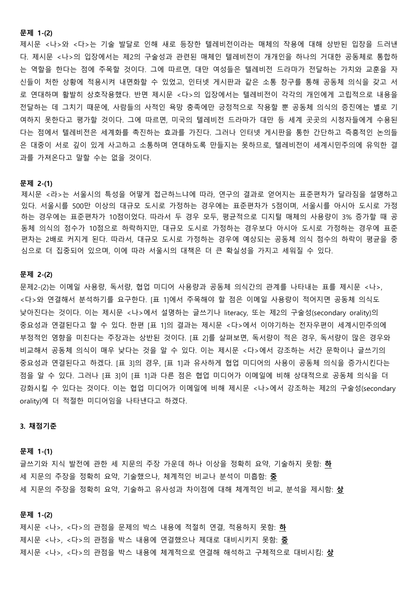#### **문제 1-(2)**

제시문 <나>와 <다>는 기술 발달로 인해 새로 등장한 텔레비전이라는 매체의 작용에 대해 상반된 입장을 드러낸 다. 제시문 <나>의 입장에서는 제2의 구술성과 관련된 매체인 텔레비전이 개개인을 하나의 거대한 공동체로 통합하 는 역할을 한다는 점에 주목할 것이다. 그에 따르면, 대만 여성들은 텔레비전 드라마가 전달하는 가치와 교훈을 자 신들이 처한 상황에 적용시켜 내면화할 수 있었고, 인터넷 게시판과 같은 소통 창구를 통해 공동체 의식을 갖고 서 로 연대하며 활발히 상호작용했다. 반면 제시문 <다>의 입장에서는 텔레비전이 각각의 개인에게 고립적으로 내용을 전달하는 데 그치기 때문에, 사람들의 사적인 욕망 충족에만 긍정적으로 작용할 뿐 공동체 의식의 증진에는 별로 기 여하지 못한다고 평가할 것이다. 그에 따르면, 미국의 텔레비전 드라마가 대만 등 세계 곳곳의 시청자들에게 수용된 다는 점에서 텔레비전은 세계화를 촉진하는 효과를 가진다. 그러나 인터넷 게시판을 통한 간단하고 즉흥적인 논의들 은 대중이 서로 깊이 있게 사고하고 소통하며 연대하도록 만들지는 못하므로, 텔레비전이 세계시민주의에 유익한 결 과를 가져온다고 말할 수는 없을 것이다.

#### **문제 2-(1)**

제시문 <라>는 서울시의 특성을 어떻게 접근하느냐에 따라, 연구의 결과로 얻어지는 표준편차가 달라짐을 설명하고 있다. 서울시를 500만 이상의 대규모 도시로 가정하는 경우에는 표준편차가 5점이며, 서울시를 아시아 도시로 가정 하는 경우에는 표준편차가 10점이었다. 따라서 두 경우 모두, 평균적으로 디지털 매체의 사용량이 3% 증가할 때 공 동체 의식의 점수가 10점으로 하락하지만, 대규모 도시로 가정하는 경우보다 아시아 도시로 가정하는 경우에 표준 편차는 2배로 커지게 된다. 따라서, 대규모 도시로 가정하는 경우에 예상되는 공동체 의식 점수의 하락이 평균을 중 심으로 더 집중되어 있으며, 이에 따라 서울시의 대책은 더 큰 확실성을 가지고 세워질 수 있다.

#### **문제 2-(2)**

문제2-(2)는 이메일 사용량, 독서량, 협업 미디어 사용량과 공동체 의식간의 관계를 나타내는 표를 제시문 <나>, <다>와 연결해서 분석하기를 요구한다. [표 1]에서 주목해야 할 점은 이메일 사용량이 적어지면 공동체 의식도 낮아진다는 것이다. 이는 제시문 <나>에서 설명하는 글쓰기나 literacy, 또는 제2의 구술성(secondary orality)의 중요성과 연결된다고 할 수 있다. 한편 [표 1]의 결과는 제시문 <다>에서 이야기하는 전자우편이 세계시민주의에 부정적인 영향을 미친다는 주장과는 상반된 것이다. [표 2]를 살펴보면, 독서량이 적은 경우, 독서량이 많은 경우와 비교해서 공동체 의식이 매우 낮다는 것을 알 수 있다. 이는 제시문 <다>에서 강조하는 서간 문학이나 글쓰기의 중요성과 연결된다고 하겠다. [표 3]의 경우, [표 1]과 유사하게 협업 미디어의 사용이 공동체 의식을 증가시킨다는 점을 알 수 있다. 그러나 [표 3]이 [표 1]과 다른 점은 협업 미디어가 이메일에 비해 상대적으로 공동체 의식을 더 강화시킬 수 있다는 것이다. 이는 협업 미디어가 이메일에 비해 제시문 <나>에서 강조하는 제2의 구술성(secondary orality)에 더 적절한 미디어임을 나타낸다고 하겠다.

#### **3. 채점기준**

#### **문제 1-(1)**

글쓰기와 지식 발전에 관한 세 지문의 주장 가운데 하나 이상을 정확히 요약, 기술하지 못함: **하** 세 지문의 주장을 정확히 요약, 기술했으나, 체계적인 비교나 분석이 미흡함: **중** 세 지문의 주장을 정확히 요약, 기술하고 유사성과 차이점에 대해 체계적인 비교, 분석을 제시함: **상**

#### **문제 1-(2)**

제시문 <나>, <다>의 관점을 문제의 박스 내용에 적절히 연결, 적용하지 못함: **하** 제시문 <나>, <다>의 관점을 박스 내용에 연결했으나 제대로 대비시키지 못함: **중** 제시문 <나>, <다>의 관점을 박스 내용에 체계적으로 연결해 해석하고 구체적으로 대비시킴: **상**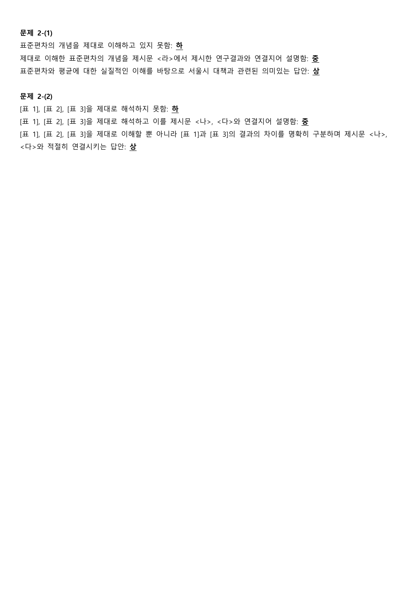**문제 2-(1)**

표준편차의 개념을 제대로 이해하고 있지 못함: **하** 제대로 이해한 표준편차의 개념을 제시문 <라>에서 제시한 연구결과와 연결지어 설명함: **중** 표준편차와 평균에 대한 실질적인 이해를 바탕으로 서울시 대책과 관련된 의미있는 답안: **상**

**문제 2-(2)**

[표 1], [표 2], [표 3]을 제대로 해석하지 못함: **하**

[표 1], [표 2], [표 3]을 제대로 해석하고 이를 제시문 <나>, <다>와 연결지어 설명함: **중**

[표 1], [표 2], [표 3]을 제대로 이해할 뿐 아니라 [표 1]과 [표 3]의 결과의 차이를 명확히 구분하며 제시문 <나>, <다>와 적절히 연결시키는 답안: **상**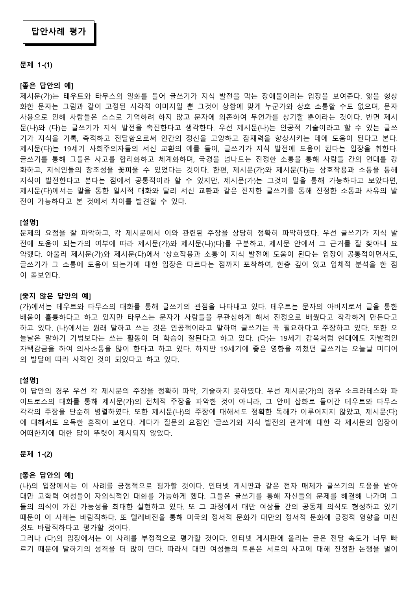#### **문제 1-(1)**

#### **[좋은 답안의 예]**

제시문(가)는 테우트와 타무스의 일화를 들어 글쓰기가 지식 발전을 막는 장애물이라는 입장을 보여준다. 앎을 형상 화한 문자는 그림과 같이 고정된 시각적 이미지일 뿐 그것이 상황에 맞게 누군가와 상호 소통할 수도 없으며, 문자 사용으로 인해 사람들은 스스로 기억하려 하지 않고 문자에 의존하여 무언가를 상기할 뿐이라는 것이다. 반면 제시 문(나)와 (다)는 글쓰기가 지식 발전을 촉진한다고 생각한다. 우선 제시문(나)는 인공적 기술이라고 할 수 있는 글쓰 기가 지식을 기록, 축적하고 전달함으로써 인간의 정신을 고양하고 잠재력을 향상시키는 데에 도움이 된다고 본다.<br>제시문(다)는 19세기 사회주의자들의 서신 교환의 예를 들어, 글쓰기가 지식 발전에 도움이 된다는 입장을 취한다.<br>글쓰기를 통해 그들은 사고를 합리화하고 체계화하며, 국경을 넘나드는 진정한 소통을 통해 사람들 간의 연대를 강 화하고, 지식인들의 창조성을 꽃피울 수 있었다는 것이다. 한편, 제시문(가)와 제시문(다)는 상호작용과 소통을 통해 지식이 발전한다고 본다는 점에서 공통적이라 할 수 있지만, 제시문(가)는 그것이 말을 통해 가능하다고 보았다면,<br>제시문(다)에서는 말을 통한 일시적 대화와 달리 서신 교환과 같은 진지한 글쓰기를 통해 진정한 소통과 사유의 발 전이 가능하다고 본 것에서 차이를 발견할 수 있다.

#### **[설명]**

문제의 요점을 잘 파악하고, 각 제시문에서 이와 관련된 주장을 상당히 정확히 파악하였다. 우선 글쓰기가 지식 발 전에 도움이 되는가의 여부에 따라 제시문(가)와 제시문(나)(다)를 구분하고, 제시문 안에서 그 근거를 잘 찾아내 요 약했다. 아울러 제시문(가)와 제시문(다)에서 '상호작용과 소통'이 지식 발전에 도움이 된다는 입장이 공통적이면서도,<br>글쓰기가 그 소통에 도움이 되는가에 대한 입장은 다르다는 점까지 포착하여, 한층 깊이 있고 입체적 분석을 한 점 이 돋보인다.

#### **[좋지 않은 답안의 예]**

(가)에서는 테우트와 타무스의 대화를 통해 글쓰기의 관점을 나타내고 있다. 테우트는 문자의 아버지로서 글을 통한 배움이 훌륭하다고 하고 있지만 타무스는 문자가 사람들을 무관심하게 해서 진정으로 배웠다고 착각하게 만든다고 하고 있다. (나)에서는 원래 말하고 쓰는 것은 인공적이라고 말하며 글쓰기는 꼭 필요하다고 주장하고 있다. 또한 오 늘날은 말하기 기법보다는 쓰는 활동이 더 학습이 잘된다고 하고 있다. (다)는 19세기 감옥처럼 현대에도 자발적인 자택감금을 하여 의사소통을 많이 한다고 하고 있다. 하지만 19세기에 좋은 영향을 끼쳤던 글쓰기는 오늘날 미디어 의 발달에 따라 사적인 것이 되었다고 하고 있다.

#### **[설명]**

이 답안의 경우 우선 각 제시문의 주장을 정확히 파악, 기술하지 못하였다. 우선 제시문(가)의 경우 소크라테스와 파 이드로스의 대화를 통해 제시문(가)의 전체적 주장을 파악한 것이 아니라, 그 안에 삽화로 들어간 테우트와 타무스 각각의 주장을 단순히 병렬하였다. 또한 제시문(나)의 주장에 대해서도 정확한 독해가 이루어지지 않았고, 제시문(다) 에 대해서도 오독한 흔적이 보인다. 게다가 질문의 요점인 '글쓰기와 지식 발전의 관계'에 대한 각 제시문의 입장이 어떠한지에 대한 답이 뚜렷이 제시되지 않았다.

#### **문제 1-(2)**

#### **[좋은 답안의 예]**

(나)의 입장에서는 이 사례를 긍정적으로 평가할 것이다. 인터넷 게시판과 같은 전자 매체가 글쓰기의 도움을 받아 대만 고학력 여성들이 자의식적인 대화를 가능하게 했다. 그들은 글쓰기를 통해 자신들의 문제를 해결해 나가며 그 들의 의식이 가진 가능성을 최대한 실현하고 있다. 또 그 과정에서 대만 여상들 간의 공동체 의식도 형성하고 있기 때문이 이 사례는 바람직하다. 또 텔레비전을 통해 미국의 정서적 문화가 대만의 정서적 문화에 긍정적 영향을 미친 것도 바람직하다고 평가할 것이다.<br>그러나 (다)의 입장에서는 이 사례를 부정적으로 평가할 것이다. 인터넷 게시판에 올리는 글은 전달 속도가 너무 빠

르기 때문에 말하기의 성격을 더 많이 띤다. 따라서 대만 여성들의 토론은 서로의 사고에 대해 진정한 논쟁을 벌이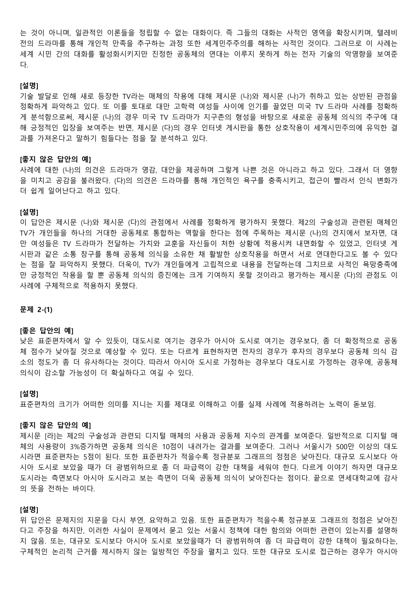는 것이 아니며, 일관적인 이론들을 정립할 수 없는 대화이다. 즉 그들의 대화는 사적인 영역을 확장시키며, 텔레비 전의 드라마를 통해 개인적 만족을 추구하는 과정 또한 세계민주주의를 해하는 사적인 것이다. 그러므로 이 사례는 세계 시민 간의 대화를 활성화시키지만 진정한 공동체의 연대는 이루지 못하게 하는 전자 기술의 악영향을 보여준 다.

#### **[설명]**

기술 발달로 인해 새로 등장한 TV라는 매체의 작용에 대해 제시문 (나)와 제시문 (나)가 취하고 있는 상반된 관점을 정확하게 파악하고 있다. 또 이를 토대로 대만 고학력 여성들 사이에 인기를 끌었던 미국 TV 드라마 사례를 정확하 게 분석함으로써, 제시문 (나)의 경우 미국 TV 드라마가 지구촌의 형성을 바탕으로 새로운 공동체 의식의 추구에 대 해 긍정적인 입장을 보여주는 반면, 제시문 (다)의 경우 인터넷 게시판을 통한 상호작용이 세계시민주의에 유익한 결 과를 가져온다고 말하기 힘들다는 점을 잘 분석하고 있다.

#### **[좋지 않은 답안의 예]**

사례에 대한 (나)의 의견은 드라마가 영감, 대안을 제공하며 그렇게 나쁜 것은 아니라고 하고 있다. 그래서 더 영향 을 미치고 공감을 불러왔다. (다)의 의견은 드라마를 통해 개인적인 욕구를 충족시키고, 접근이 빨라서 인식 변화가 더 쉽게 일어난다고 하고 있다.

#### **[설명]**

이 답안은 제시문 (나)와 제시문 (다)의 관점에서 사례를 정확하게 평가하지 못했다. 제2의 구술성과 관련된 매체인 TV가 개인들을 하나의 거대한 공동체로 통합하는 역할을 한다는 점에 주목하는 제시문 (나)의 견지에서 보자면, 대 만 여성들은 TV 드라마가 전달하는 가치와 교훈을 자신들이 처한 상황에 적용시켜 내면화할 수 있었고, 인터넷 게 시판과 같은 소통 창구를 통해 공동체 의식을 소유한 채 활발한 상호작용을 하면서 서로 연대한다고도 볼 수 있다 는 점을 잘 파악하지 못했다. 더욱이, TV가 개인들에게 고립적으로 내용을 전달하는데 그치므로 사적인 욕망충족에 만 긍정적인 작용을 할 뿐 공동체 의식의 증진에는 크게 기여하지 못할 것이라고 평가하는 제시문 (다)의 관점도 이 사례에 구체적으로 적용하지 못했다.

## **문제 2-(1)**

#### **[좋은 답안의 예]**

낮은 표준편차에서 알 수 있듯이, 대도시로 여기는 경우가 아시아 도시로 여기는 경우보다, 좀 더 확정적으로 공동 체 점수가 낮아질 것으로 예상할 수 있다. 또는 다르게 표현하자면 전자의 경우가 후자의 경우보다 공동체 의식 감 소의 정도가 좀 더 유사하다는 것이다. 따라서 아시아 도시로 가정하는 경우보다 대도시로 가정하는 경우에, 공동체 의식이 감소할 가능성이 더 확실하다고 여길 수 있다.

#### **[설명]**

표준편차의 크기가 어떠한 의미를 지니는 지를 제대로 이해하고 이를 실제 사례에 적용하려는 노력이 돋보임.

#### **[좋지 않은 답안의 예]**

제시문 [라]는 제2의 구술성과 관련되 디지털 매체의 사용과 공동체 지수의 관계를 보여준다. 일반적으로 디지털 매 체의 사용량이 3%증가하면 공동체 의식은 10점이 내려가는 결과를 보여준다. 그러나 서울시가 500만 이상의 대도 시라면 표준편차는 5점이 된다. 또한 표준펀차가 적을수록 정규분포 그래프의 정점은 낮아진다. 대규모 도시보다 아 시아 도시로 보았을 때가 더 광범위하므로 좀 더 파급력이 강한 대책을 세워야 한다. 다르게 이야기 하자면 대규모 도시라는 측면보다 아시아 도시라고 보는 측면이 더욱 공동체 의식이 낮아진다는 점이다. 끝으로 연세대학교에 감사 의 뜻을 전하는 바이다.

#### **[설명]**

위 답안은 문제지의 지문을 다시 부연, 요약하고 있음. 또한 표준편차가 적을수록 정규분포 그래프의 정점은 낮아진 다고 주장을 하지만, 이러한 사실이 문제에서 묻고 있는 서울시 정책에 대한 함의와 어떠한 관련이 있는지를 설명하 지 않음. 또는, 대규모 도시보다 아시아 도시로 보았을때가 더 광범위하여 좀 더 파급력이 강한 대책이 필요하다는,<br>구체적인 논리적 근거를 제시하지 않는 일방적인 주장을 펼치고 있다. 또한 대규모 도시로 접근하는 경우가 아시아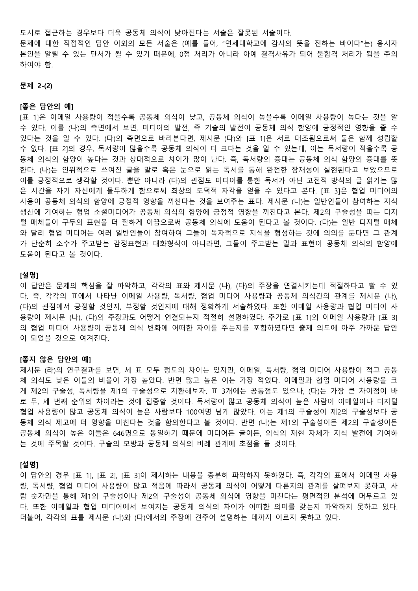도시로 접근하는 경우보다 더욱 공동체 의식이 낮아진다는 서술은 잘못된 서술이다.

문제에 대한 직접적인 답안 이외의 모든 서술은 (예를 들어, "연세대학교에 감사의 뜻을 전하는 바이다"는) 응시자 본인을 알릴 수 있는 단서가 될 수 있기 때문에, 0점 처리가 아니라 아예 결격사유가 되어 불합격 처리가 됨을 주의 하여야 함.

#### **문제 2-(2)**

#### **[좋은 답안의 예]**

[표 1]은 이메일 사용량이 적을수록 공동체 의식이 낮고, 공동체 의식이 높을수록 이메일 사용량이 높다는 것을 알 수 있다. 이를 (나)의 측면에서 보면, 미디어의 발전, 즉 기술의 발전이 공동체 의식 함양에 긍정적인 영향을 줄 수 있다는 것을 알 수 있다. (다)의 측면으로 바라본다면, 제시문 (다)와 [표 1]은 서로 대조됨으로써 둘은 함께 성립할 수 없다. [표 2]의 경우, 독서량이 많을수록 공동체 의식이 더 크다는 것을 알 수 있는데, 이는 독서량이 적을수록 공 동체 의식의 함양이 높다는 것과 상대적으로 차이가 많이 난다. 즉, 독서량의 증대는 공동체 의식 함양의 증대를 뜻 한다. (나)는 인위적으로 쓰여진 글을 말로 혹은 눈으로 읽는 독서를 통해 완전한 잠재성이 실현된다고 보았으므로 이를 긍정적으로 생각할 것이다. 뿐만 아니라 (다)의 관점도 미디어를 통한 독서가 아닌 고전적 방식의 글 읽기는 많 은 시간을 자기 자신에게 몰두하게 함으로써 최상의 도덕적 자각을 얻을 수 있다고 본다. [표 3]은 협업 미디어의 사용이 공동체 의식의 함양에 긍정적 영향을 끼친다는 것을 보여주는 표다. 제시문 (나)는 일반인들이 참여하는 지식 생산에 기여하는 협업 소셜미디어가 공동체 의식의 함양에 긍정적 영향을 끼친다고 본다. 제2의 구술성을 띠는 디지 털 매체들이 구두의 표현을 더 잘하게 이끔으로써 공동체 의식에 도움이 된다고 볼 것이다. (다)는 일반 디지털 매체 와 달리 협업 미디어는 여러 일반인들이 참여하여 그들이 독자적으로 지식을 형성하는 것에 의의를 둔다면 그 관계 가 단순히 소수가 주고받는 감정표현과 대화형식이 아니라면, 그들이 주고받는 말과 표현이 공동체 의식의 함양에 도움이 된다고 볼 것이다.

## **[설명]**

이 답안은 문제의 핵심을 잘 파악하고, 각각의 표와 제시문 (나), (다)의 주장을 연결시키는데 적절하다고 할 수 있 다. 즉, 각각의 표에서 나타난 이메일 사용량, 독서량, 협업 미디어 사용량과 공동체 의식간의 관계를 제시문 (나), (다)의 관점에서 긍정할 것인지, 부정할 것인지에 대해 정확하게 서술하였다. 또한 이메일 사용량과 협업 미디어 사 용량이 제시문 (나), (다)의 주장과도 어떻게 연결되는지 적절히 설명하였다. 추가로 [표 1]의 이메일 사용량과 [표 3] 의 협업 미디어 사용량이 공동체 의식 변화에 어떠한 차이를 주는지를 포함하였다면 출제 의도에 아주 가까운 답안 이 되었을 것으로 여겨진다.

#### **[좋지 않은 답안의 예]**

제시문 (라)의 연구결과를 보면, 세 표 모두 정도의 차이는 있지만, 이메일, 독서량, 협업 미디어 사용량이 적고 공동 체 의식도 낮은 이들의 비율이 가장 높았다. 반면 많고 높은 이는 가장 적었다. 이메일과 협업 미디어 사용량을 크 게 제2의 구술성, 독서량을 제1의 구술성으로 치환해보자. 표 3개에는 공통점도 있으나, (다)는 가장 큰 차이점이 바 로 두, 세 번째 순위의 차이라는 것에 집중할 것이다. 독서량이 많고 공동체 의식이 높은 사람이 이메일이나 디지털 협업 사용량이 많고 공동체 의식이 높은 사람보다 100여명 넘게 많았다. 이는 제1의 구술성이 제2의 구술성보다 공 동체 의식 제고에 더 영향을 미친다는 것을 함의한다고 볼 것이다. 반면 (나)는 제1의 구술성이든 제2의 구술성이든 공동체 의식이 높은 이들은 646명으로 동일하기 때문에 미디어든 글이든, 의식의 재현 자체가 지식 발전에 기여하 는 것에 주목할 것이다. 구술의 모방과 공동체 의식의 비례 관계에 초점을 둘 것이다.

#### **[설명]**

이 답안의 경우 [표 1], [표 2], [표 3]이 제시하는 내용을 충분히 파악하지 못하였다. 즉, 각각의 표에서 이메일 사용 량, 독서량, 협업 미디어 사용량이 많고 적음에 따라서 공동체 의식이 어떻게 다른지의 관계를 살펴보지 못하고, 사 람 숫자만을 통해 제1의 구술성이나 제2의 구술성이 공동체 의식에 영향을 미친다는 평면적인 분석에 머무르고 있 다. 또한 이메일과 협업 미디어에서 보여지는 공동체 의식의 차이가 어떠한 의미를 갖는지 파악하지 못하고 있다.<br>더불어, 각각의 표를 제시문 (나)와 (다)에서의 주장에 견주어 설명하는 데까지 이르지 못하고 있다.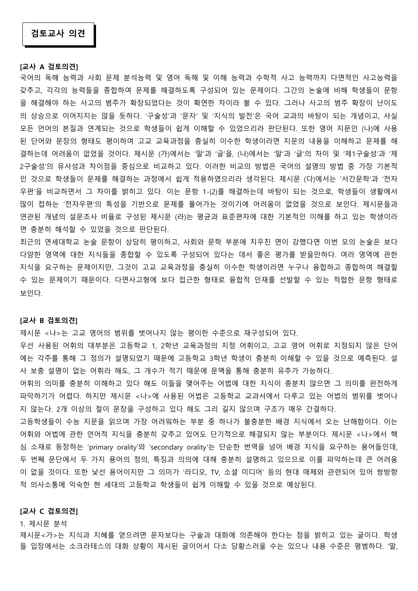#### **[교사 A 검토의견]**

국어의 독해 능력과 사회 문제 분석능력 및 영어 독해 및 이해 능력과 수학적 사고 능력까지 다면적인 사고능력을 갖추고, 각각의 능력들을 종합하여 문제를 해결하도록 구성되어 있는 문제이다. 그간의 논술에 비해 학생들이 문항 을 해결해야 하는 사고의 범주가 확장되었다는 것이 확연한 차이라 볼 수 있다. 그러나 사고의 범주 확장이 난이도 의 상승으로 이어지지는 않을 듯하다. '구술성'과 '문자' 및 '지식의 발전'은 국어 교과의 바탕이 되는 개념이고, 사실 모든 언어의 본질과 연계되는 것으로 학생들이 쉽게 이해할 수 있었으리라 판단된다. 또한 영어 지문인 (나)에 사용 된 단어와 문장의 형태도 평이하여 고교 교육과정을 충실히 이수한 학생이라면 지문의 내용을 이해하고 문제를 해 결하는데 어려움이 없었을 것이다. 제시문 (가)에서는 '말'과 '글'을, (나)에서는 '말'과 '글'의 차이 및 '제1구술성'과 '제 2구술성'의 유사성과 차이점을 중심으로 비교하고 있다. 이러한 비교의 방법은 국어의 설명의 방법 중 가장 기본적 인 것으로 학생들이 문제를 해결하는 과정에서 쉽게 적용하였으리라 생각된다. 제시문 (다)에서는 '서간문학'과 '전자 우편'을 비교하면서 그 차이를 밝히고 있다. 이는 문항 1-(2)를 해결하는데 바탕이 되는 것으로, 학생들이 생활에서 많이 접하는 '전자우편'의 특성을 기반으로 문제를 풀어가는 것이기에 어려움이 없었을 것으로 보인다. 제시문들과 연관된 개념의 설문조사 비율로 구성된 제시문 (라)는 평균과 표준편차에 대한 기본적인 이해를 하고 있는 학생이라 면 충분히 해석할 수 있었을 것으로 판단된다.

최근의 연세대학교 논술 문항이 상당히 평이하고, 사회와 문학 부분에 치우친 면이 강했다면 이번 모의 논술은 보다 다양한 영역에 대한 지식들을 종합할 수 있도록 구성되어 있다는 데서 좋은 평가를 받을만하다. 여러 영역에 관한 지식을 요구하는 문제이지만, 그것이 고교 교육과정을 충실히 이수한 학생이라면 누구나 융합하고 종합하여 해결할 수 있는 문제이기 때문이다. 다면사고형에 보다 접근한 형태로 융합적 인재를 선발할 수 있는 적합한 문항 형태로 보인다.

#### **[교사 B 검토의견]**

제시문 <나>는 고교 영어의 범위를 벗어나지 않는 평이한 수준으로 재구성되어 있다.<br>우선 사용된 어휘의 대부분은 고등학교 1, 2학년 교육과정의 지정 어휘이고, 고교 영어 어휘로 지정되지 않은 단어 에는 각주를 통해 그 정의가 설명되었기 때문에 고등학교 3학년 학생이 충분히 이해할 수 있을 것으로 예측된다. 설 사 보충 설명이 없는 어휘라 해도, 그 개수가 적기 때문에 문맥을 통해 충분히 유추가 가능하다.<br>어휘의 의미를 충분히 이해하고 있다 해도 이들을 맺어주는 어법에 대한 지식이 충분치 않으면 그 의미를 완전하게

파악하기가 어렵다. 하지만 제시문 <나>에 사용된 어법은 고등학교 교과서에서 다루고 있는 어법의 범위를 벗어나 지 않는다. 2개 이상의 절이 문장을 구성하고 있다 해도 그리 길지 않으며 구조가 매우 간결하다.

고등학생들이 수능 지문을 읽으며 가장 어려워하는 부분 중 하나가 불충분한 배경 지식에서 오는 난해함이다. 이는 어휘와 어법에 관한 언어적 지식을 충분히 갖추고 있어도 단기적으로 해결되지 않는 부분이다. 제시문 <나>에서 핵 심 소재로 등장하는 'primary orality'와 'secondary orality'는 단순한 번역을 넘어 배경 지식을 요구하는 용어들인데,<br>두 번째 문단에서 두 가지 용어의 정의, 특징과 의의에 대해 충분히 설명하고 있으므로 이를 파악하는데 큰 어려움 이 없을 것이다. 또한 낯선 용어이지만 그 의미가 '라디오, TV, 소셜 미디어' 등의 현대 매체와 관련되어 있어 쌍방향 적 의사소통에 익숙한 현 세대의 고등학교 학생들이 쉽게 이해할 수 있을 것으로 예상된다.

## **[교사 C 검토의견]**

1. 제시문 분석

제시문<가>는 지식과 지혜를 얻으려면 문자보다는 구술과 대화에 의존해야 한다는 점을 밝히고 있는 글이다. 학생 들 입장에서는 소크라테스의 대화 상황이 제시된 글이어서 다소 당황스러울 수는 있으나 내용 수준은 평범하다. '말,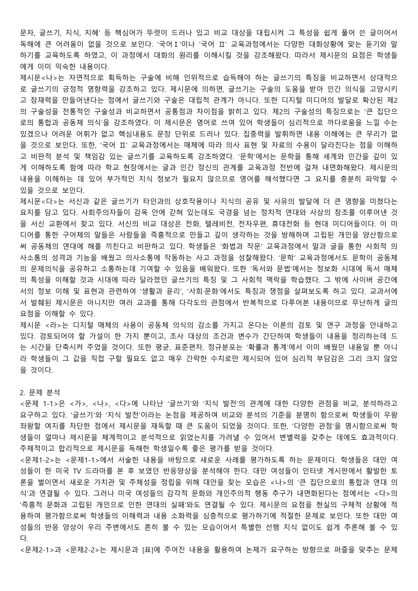문자, 글쓰기, 지식, 지혜' 등 핵심어가 뚜렷이 드러나 있고 비교 대상을 대립시켜 그 특성을 쉽게 풀어 쓴 글이어서 독해에 큰 어려움이 없을 것으로 보인다. '국어Ⅰ'이나 '국어 Ⅱ' 교육과정에서는 다양한 대화상황에 맞는 듣기와 말 하기를 교육하도록 하였고, 이 과정에서 대화의 원리를 이해시킬 것을 강조해왔다. 따라서 제시문의 요점은 학생들 에게 이미 익숙한 내용이다.

제시문<나>는 자연적으로 획득하는 구술에 비해 인위적으로 습득해야 하는 글쓰기의 특징을 비교하면서 상대적으 로 글쓰기의 긍정적 영향력을 강조하고 있다. 제시문에 의하면, 글쓰기는 구술의 도움을 받아 인간 의식을 고양시키 고 잠재력을 만들어낸다는 점에서 글쓰기와 구술은 대립적 관계가 아니다. 또한 디지털 미디어의 발달로 확산된 제2 의 구술성을 전통적인 구술성과 비교하면서 공통점과 차이점을 밝히고 있다. 제2의 구술성의 특징으로는 '큰 집단으 로의 통합과 공동체 의식'을 강조하였다. 이 제시문은 영어로 쓰여 있어 학생들이 심리적으로 까다로움을 느낄 수는 있겠으나 어려운 어휘가 없고 핵심내용도 문장 단위로 드러나 있다. 집중력을 발휘하면 내용 이해에는 큰 무리가 없 을 것으로 보인다. 또한, '국어 Ⅱ' 교육과정에서는 매체에 따라 의사 표현 및 자료의 수용이 달라진다는 점을 이해하 고 비판적 분석 및 책임감 있는 글쓰기를 교육하도록 강조하였다. '문학'에서는 문학을 통해 세계와 인간을 깊이 있 게 이해하도록 함에 따라 학교 현장에서는 글과 인간 정신의 관계를 교육과정 전반에 걸쳐 내면화해왔다. 제시문의 내용을 이해하는 데 있어 부가적인 지식 정보가 필요치 않으므로 영어를 해석했다면 그 요지를 충분히 파악할 수 있을 것으로 보인다.<br>제시문<다>는 서신과 같은 글쓰기가 타인과의 상호작용이나 지식의 공유 및 사유의 발달에 더 큰 영향을 미쳤다는

요지를 담고 있다. 사회주의자들이 감옥 안에 갇혀 있는데도 국경을 넘는 정치적 연대와 사상의 창조를 이루어낸 것 을 서신 교환에서 찾고 있다. 서신의 비교 대상은 전화, 텔레비전, 전자우편, 휴대전화 등 현대 미디어들이다. 이 미 디어를 통한 구어체의 말들은 사람들을 즉흥적으로 만들고 깊이 생각하는 것을 방해하며 고립된 개인을 양산함으로 써 공동체의 연대에 해를 끼친다고 비판하고 있다. 학생들은 '화법과 작문' 교육과정에서 말과 글을 통한 사회적 의 사소통의 성격과 기능을 배웠고 의사소통에 작동하는 사고 과정을 성찰해왔다. '문학' 교육과정에서도 문학이 공동체 의 문제의식을 공유하고 소통하는데 기여할 수 있음을 배워왔다. 또한 '독서와 문법'에서는 정보화 시대에 독서 매체 의 특성을 이해할 것과 시대에 따라 달라졌던 글쓰기의 특징 및 그 사회적 맥락을 학습했다. 그 밖에 사이버 공간에 서의 정보 이해 및 표현과 관련하여 '생활과 윤리', '사회·문화'에서도 특징과 쟁점을 살펴보도록 하고 있다. 교과서에 서 발췌된 제시문은 아니지만 여러 교과를 통해 다각도의 관점에서 반복적으로 다루어본 내용이므로 무난하게 글의 요점을 이해할 수 있다.<br>제시문 <라>는 디지털 매체의 사용이 공동체 의식의 감소를 가지고 온다는 이론의 검토 및 연구 과정을 안내하고

있다. 검토되어야 할 가설이 한 가지 뿐이고, 조사 대상의 조건과 변수가 간단하여 학생들이 내용을 정리하는데 드 는 시간을 단축시켜 주었을 것이다. 또한 평균, 표준편차, 정규분포는 '확률과 통계'에서 이미 배웠던 내용일 뿐 아니 라 학생들이 그 값을 직접 구할 필요도 없고 매우 간략한 수치로만 제시되어 있어 심리적 부담감은 그리 크지 않았 을 것이다.<br>2. 문제 분석

<문제 1-1>은 <가>, <나>, <다>에 나타난 '글쓰기'와 '지식 발전'의 관계에 대한 다양한 관점을 비교, 분석하라고 요구하고 있다. '글쓰기'와 '지식 발전'이라는 논점을 제공하여 비교와 분석의 기준을 분명히 함으로써 학생들이 우왕 좌왕할 여지를 차단한 점에서 제시문을 재독할 때 큰 도움이 되었을 것이다. 또한, '다양한 관점'을 명시함으로써 학 생들이 얼마나 제시문을 체계적이고 분석적으로 읽었는지를 가려낼 수 있어서 변별력을 갖추는 데에도 효과적이다.<br>주체적이고 합리적으로 제시문을 독해한 학생일수록 좋은 평가를 받을 것이다.<br><문제1-2>는 <문제1-1>에서 서술한 내용을 바탕으로 새로운 사례를 평가하도록 하는 문제이다. 학생들은 대만 여

성들이 한 미국 TV 드라마를 본 후 보였던 반응양상을 분석해야 한다. 대만 여성들이 인터넷 게시판에서 활발한 토 론을 벌이면서 새로운 가치관 및 주체성을 정립을 위해 대안을 찾는 모습은 <나>의 '큰 집단으로의 통합과 연대 의 식'과 연결될 수 있다. 그러나 미국 여성들의 감각적 문화와 개인주의적 행동 추구가 내면화된다는 점에서는 <다>의 '즉흥적 문화과 고립된 개인으로 인한 연대의 실패'와도 연결될 수 있다. 제시문의 요점을 현실의 구체적 상황에 적 용하여 평가함으로써 학생들의 이해력과 내용 소화력을 심층적으로 평가하기에 적절한 문제로 보인다. 또한 대만 여 성들의 반응 양상이 우리 주변에서도 흔히 볼 수 있는 모습이어서 특별한 선행 지식 없이도 쉽게 추론해 볼 수 있 다.<br><문제2-1>과 <문제2-2>는 제시문과 [표]에 주어진 내용을 활용하여 논제가 요구하는 방향으로 퍼즐을 맞추는 문제